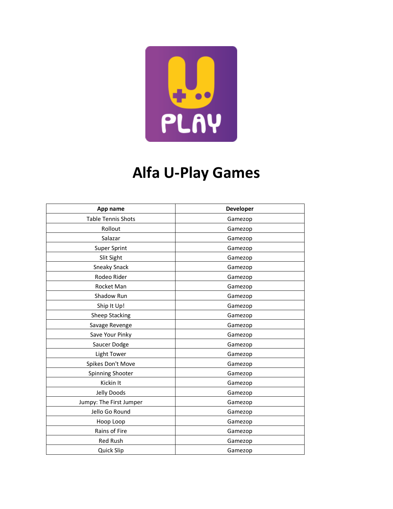

## **Alfa U-Play Games**

| App name                | Developer |
|-------------------------|-----------|
| Table Tennis Shots      | Gamezop   |
| Rollout                 | Gamezop   |
| Salazar                 | Gamezop   |
| Super Sprint            | Gamezop   |
| Slit Sight              | Gamezop   |
| <b>Sneaky Snack</b>     | Gamezop   |
| Rodeo Rider             | Gamezop   |
| Rocket Man              | Gamezop   |
| Shadow Run              | Gamezop   |
| Ship It Up!             | Gamezop   |
| <b>Sheep Stacking</b>   | Gamezop   |
| Savage Revenge          | Gamezop   |
| Save Your Pinky         | Gamezop   |
| Saucer Dodge            | Gamezop   |
| <b>Light Tower</b>      | Gamezop   |
| Spikes Don't Move       | Gamezop   |
| Spinning Shooter        | Gamezop   |
| Kickin It               | Gamezop   |
| Jelly Doods             | Gamezop   |
| Jumpy: The First Jumper | Gamezop   |
| Jello Go Round          | Gamezop   |
| Hoop Loop               | Gamezop   |
| Rains of Fire           | Gamezop   |
| <b>Red Rush</b>         | Gamezop   |
| Quick Slip              | Gamezop   |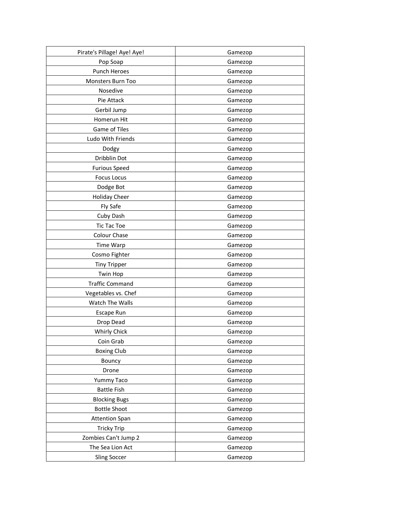| Pirate's Pillage! Aye! Aye! | Gamezop |
|-----------------------------|---------|
| Pop Soap                    | Gamezop |
| Punch Heroes                | Gamezop |
| Monsters Burn Too           | Gamezop |
| Nosedive                    | Gamezop |
| Pie Attack                  | Gamezop |
| Gerbil Jump                 | Gamezop |
| Homerun Hit                 | Gamezop |
| Game of Tiles               | Gamezop |
| Ludo With Friends           | Gamezop |
| Dodgy                       | Gamezop |
| Dribblin Dot                | Gamezop |
| <b>Furious Speed</b>        | Gamezop |
| <b>Focus Locus</b>          | Gamezop |
| Dodge Bot                   | Gamezop |
| <b>Holiday Cheer</b>        | Gamezop |
| Fly Safe                    | Gamezop |
| Cuby Dash                   | Gamezop |
| <b>Tic Tac Toe</b>          | Gamezop |
| Colour Chase                | Gamezop |
| Time Warp                   | Gamezop |
| Cosmo Fighter               | Gamezop |
| <b>Tiny Tripper</b>         | Gamezop |
| <b>Twin Hop</b>             | Gamezop |
| <b>Traffic Command</b>      | Gamezop |
| Vegetables vs. Chef         | Gamezop |
| Watch The Walls             | Gamezop |
| Escape Run                  | Gamezop |
| Drop Dead                   | Gamezop |
| <b>Whirly Chick</b>         | Gamezop |
| Coin Grab                   | Gamezop |
| <b>Boxing Club</b>          | Gamezop |
| Bouncy                      | Gamezop |
| Drone                       | Gamezop |
| Yummy Taco                  | Gamezop |
| <b>Battle Fish</b>          | Gamezop |
| <b>Blocking Bugs</b>        | Gamezop |
| <b>Bottle Shoot</b>         | Gamezop |
| <b>Attention Span</b>       | Gamezop |
| <b>Tricky Trip</b>          | Gamezop |
| Zombies Can't Jump 2        | Gamezop |
| The Sea Lion Act            | Gamezop |
| <b>Sling Soccer</b>         | Gamezop |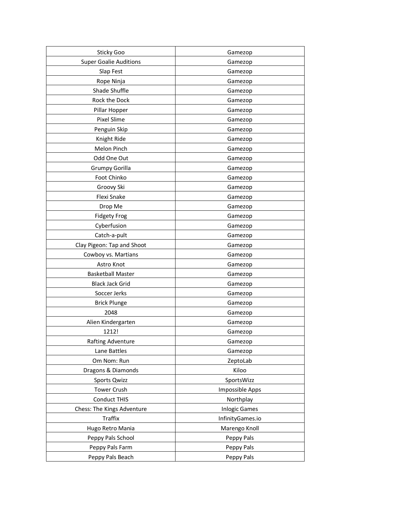| Sticky Goo                    | Gamezop              |
|-------------------------------|----------------------|
| <b>Super Goalie Auditions</b> | Gamezop              |
| Slap Fest                     | Gamezop              |
| Rope Ninja                    | Gamezop              |
| Shade Shuffle                 | Gamezop              |
| Rock the Dock                 | Gamezop              |
| Pillar Hopper                 | Gamezop              |
| Pixel Slime                   | Gamezop              |
| Penguin Skip                  | Gamezop              |
| Knight Ride                   | Gamezop              |
| Melon Pinch                   | Gamezop              |
| Odd One Out                   | Gamezop              |
| Grumpy Gorilla                | Gamezop              |
| Foot Chinko                   | Gamezop              |
| Groovy Ski                    | Gamezop              |
| Flexi Snake                   | Gamezop              |
| Drop Me                       | Gamezop              |
| <b>Fidgety Frog</b>           | Gamezop              |
| Cyberfusion                   | Gamezop              |
| Catch-a-pult                  | Gamezop              |
| Clay Pigeon: Tap and Shoot    | Gamezop              |
| Cowboy vs. Martians           | Gamezop              |
| Astro Knot                    | Gamezop              |
| <b>Basketball Master</b>      | Gamezop              |
| <b>Black Jack Grid</b>        | Gamezop              |
| Soccer Jerks                  | Gamezop              |
| <b>Brick Plunge</b>           | Gamezop              |
| 2048                          | Gamezop              |
| Alien Kindergarten            | Gamezop              |
| 1212!                         | Gamezop              |
| Rafting Adventure             | Gamezop              |
| Lane Battles                  | Gamezop              |
| Om Nom: Run                   | ZeptoLab             |
| Dragons & Diamonds            | Kiloo                |
| <b>Sports Qwizz</b>           | SportsWizz           |
| Tower Crush                   | Impossible Apps      |
| <b>Conduct THIS</b>           | Northplay            |
| Chess: The Kings Adventure    | <b>Inlogic Games</b> |
| <b>Traffix</b>                | InfinityGames.io     |
| Hugo Retro Mania              | Marengo Knoll        |
| Peppy Pals School             | Peppy Pals           |
| Peppy Pals Farm               | Peppy Pals           |
| Peppy Pals Beach              | Peppy Pals           |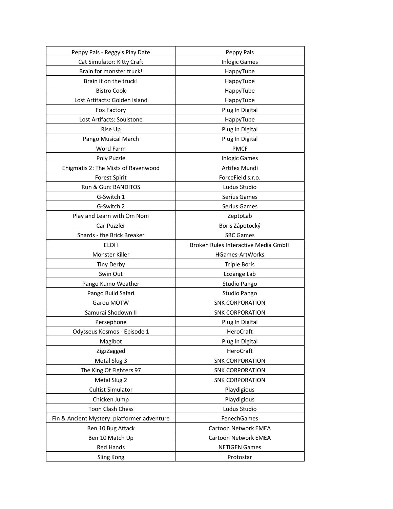| Peppy Pals - Reggy's Play Date              | Peppy Pals                          |
|---------------------------------------------|-------------------------------------|
| Cat Simulator: Kitty Craft                  | <b>Inlogic Games</b>                |
| Brain for monster truck!                    | HappyTube                           |
| Brain it on the truck!                      | HappyTube                           |
| <b>Bistro Cook</b>                          | HappyTube                           |
| Lost Artifacts: Golden Island               | HappyTube                           |
| Fox Factory                                 | Plug In Digital                     |
| Lost Artifacts: Soulstone                   | HappyTube                           |
| Rise Up                                     | Plug In Digital                     |
| Pango Musical March                         | Plug In Digital                     |
| Word Farm                                   | <b>PMCF</b>                         |
| Poly Puzzle                                 | <b>Inlogic Games</b>                |
| Enigmatis 2: The Mists of Ravenwood         | Artifex Mundi                       |
| <b>Forest Spirit</b>                        | ForceField s.r.o.                   |
| Run & Gun: BANDITOS                         | Ludus Studio                        |
| G-Switch 1                                  | Serius Games                        |
| G-Switch 2                                  | Serius Games                        |
| Play and Learn with Om Nom                  | ZeptoLab                            |
| Car Puzzler                                 | Boris Zápotocký                     |
| Shards - the Brick Breaker                  | <b>SBC Games</b>                    |
| <b>ELOH</b>                                 | Broken Rules Interactive Media GmbH |
| Monster Killer                              | <b>HGames-ArtWorks</b>              |
| <b>Tiny Derby</b>                           | <b>Triple Boris</b>                 |
| Swin Out                                    | Lozange Lab                         |
| Pango Kumo Weather                          | Studio Pango                        |
| Pango Build Safari                          | Studio Pango                        |
| Garou MOTW                                  | <b>SNK CORPORATION</b>              |
| Samurai Shodown II                          | <b>SNK CORPORATION</b>              |
| Persephone                                  | Plug In Digital                     |
| Odysseus Kosmos - Episode 1                 | HeroCraft                           |
| Magibot                                     | Plug In Digital                     |
| ZigzZagged                                  | HeroCraft                           |
| Metal Slug 3                                | <b>SNK CORPORATION</b>              |
| The King Of Fighters 97                     | <b>SNK CORPORATION</b>              |
| Metal Slug 2                                | <b>SNK CORPORATION</b>              |
| <b>Cultist Simulator</b>                    | Playdigious                         |
| Chicken Jump                                | Playdigious                         |
| Toon Clash Chess                            | Ludus Studio                        |
| Fin & Ancient Mystery: platformer adventure | FenechGames                         |
| Ben 10 Bug Attack                           | Cartoon Network EMEA                |
| Ben 10 Match Up                             | Cartoon Network EMEA                |
| Red Hands                                   | <b>NETIGEN Games</b>                |
| Sling Kong                                  | Protostar                           |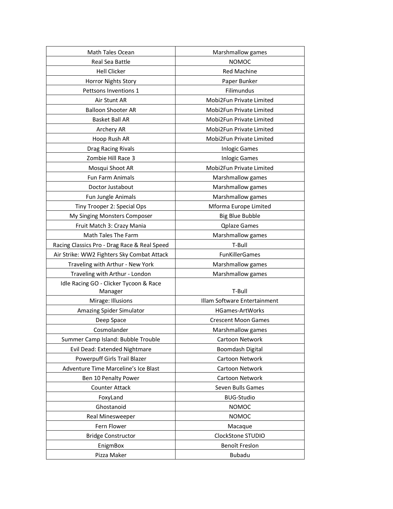| Math Tales Ocean                             | Marshmallow games            |
|----------------------------------------------|------------------------------|
| Real Sea Battle                              | <b>NOMOC</b>                 |
| <b>Hell Clicker</b>                          | <b>Red Machine</b>           |
| Horror Nights Story                          | Paper Bunker                 |
| Pettsons Inventions 1                        | Filimundus                   |
| Air Stunt AR                                 | Mobi2Fun Private Limited     |
| <b>Balloon Shooter AR</b>                    | Mobi2Fun Private Limited     |
| <b>Basket Ball AR</b>                        | Mobi2Fun Private Limited     |
| Archery AR                                   | Mobi2Fun Private Limited     |
| Hoop Rush AR                                 | Mobi2Fun Private Limited     |
| Drag Racing Rivals                           | <b>Inlogic Games</b>         |
| Zombie Hill Race 3                           | <b>Inlogic Games</b>         |
| Mosqui Shoot AR                              | Mobi2Fun Private Limited     |
| Fun Farm Animals                             | Marshmallow games            |
| Doctor Justabout                             | Marshmallow games            |
| Fun Jungle Animals                           | Marshmallow games            |
| Tiny Trooper 2: Special Ops                  | Mforma Europe Limited        |
| My Singing Monsters Composer                 | <b>Big Blue Bubble</b>       |
| Fruit Match 3: Crazy Mania                   | <b>Qplaze Games</b>          |
| Math Tales The Farm                          | Marshmallow games            |
| Racing Classics Pro - Drag Race & Real Speed | T-Bull                       |
| Air Strike: WW2 Fighters Sky Combat Attack   | FunKillerGames               |
| Traveling with Arthur - New York             | Marshmallow games            |
| Traveling with Arthur - London               | Marshmallow games            |
| Idle Racing GO - Clicker Tycoon & Race       |                              |
| Manager                                      | T-Bull                       |
| Mirage: Illusions                            | Illam Software Entertainment |
| Amazing Spider Simulator                     | HGames-ArtWorks              |
| Deep Space                                   | <b>Crescent Moon Games</b>   |
| Cosmolander                                  | Marshmallow games            |
| Summer Camp Island: Bubble Trouble           | Cartoon Network              |
| Evil Dead: Extended Nightmare                | <b>Boomdash Digital</b>      |
| Powerpuff Girls Trail Blazer                 | Cartoon Network              |
| Adventure Time Marceline's Ice Blast         | Cartoon Network              |
| Ben 10 Penalty Power                         | Cartoon Network              |
| <b>Counter Attack</b>                        | Seven Bulls Games            |
| FoxyLand                                     | <b>BUG-Studio</b>            |
| Ghostanoid                                   | <b>NOMOC</b>                 |
| Real Minesweeper                             | <b>NOMOC</b>                 |
| Fern Flower                                  | Macaque                      |
| <b>Bridge Constructor</b>                    | ClockStone STUDIO            |
| EnigmBox                                     | Benoît Freslon               |
| Pizza Maker                                  | <b>Bubadu</b>                |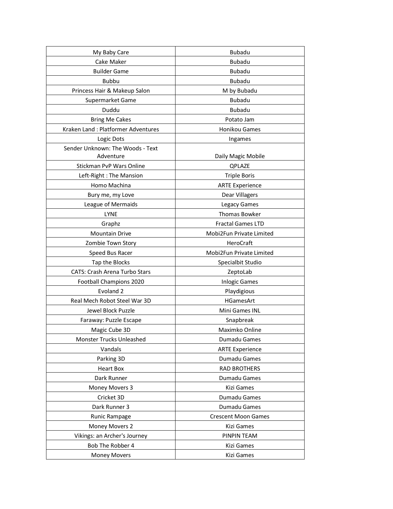| My Baby Care                         | <b>Bubadu</b>              |
|--------------------------------------|----------------------------|
| Cake Maker                           | <b>Bubadu</b>              |
| <b>Builder Game</b>                  | <b>Bubadu</b>              |
| <b>Bubbu</b>                         | <b>Bubadu</b>              |
| Princess Hair & Makeup Salon         | M by Bubadu                |
| Supermarket Game                     | <b>Bubadu</b>              |
| Duddu                                | <b>Bubadu</b>              |
| <b>Bring Me Cakes</b>                | Potato Jam                 |
| Kraken Land: Platformer Adventures   | Honikou Games              |
| Logic Dots                           | Ingames                    |
| Sender Unknown: The Woods - Text     |                            |
| Adventure                            | Daily Magic Mobile         |
| Stickman PvP Wars Online             | QPLAZE                     |
| Left-Right: The Mansion              | <b>Triple Boris</b>        |
| Homo Machina                         | <b>ARTE Experience</b>     |
| Bury me, my Love                     | <b>Dear Villagers</b>      |
| League of Mermaids                   | Legacy Games               |
| <b>LYNE</b>                          | Thomas Bowker              |
| Graphz                               | <b>Fractal Games LTD</b>   |
| <b>Mountain Drive</b>                | Mobi2Fun Private Limited   |
| Zombie Town Story                    | HeroCraft                  |
| Speed Bus Racer                      | Mobi2Fun Private Limited   |
| Tap the Blocks                       | Specialbit Studio          |
| <b>CATS: Crash Arena Turbo Stars</b> | ZeptoLab                   |
| Football Champions 2020              | <b>Inlogic Games</b>       |
| Evoland <sub>2</sub>                 | Playdigious                |
| Real Mech Robot Steel War 3D         | HGamesArt                  |
| Jewel Block Puzzle                   | Mini Games INL             |
| Faraway: Puzzle Escape               | Snapbreak                  |
| Magic Cube 3D                        | Maximko Online             |
| Monster Trucks Unleashed             | Dumadu Games               |
| Vandals                              | <b>ARTE Experience</b>     |
| Parking 3D                           | Dumadu Games               |
| <b>Heart Box</b>                     | <b>RAD BROTHERS</b>        |
| Dark Runner                          | Dumadu Games               |
| Money Movers 3                       | Kizi Games                 |
| Cricket 3D                           | Dumadu Games               |
| Dark Runner 3                        | Dumadu Games               |
| Runic Rampage                        | <b>Crescent Moon Games</b> |
| Money Movers 2                       | Kizi Games                 |
| Vikings: an Archer's Journey         | PINPIN TEAM                |
| Bob The Robber 4                     | Kizi Games                 |
| <b>Money Movers</b>                  | Kizi Games                 |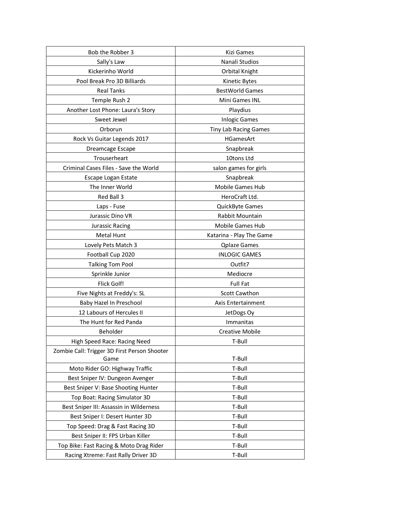| Bob the Robber 3                             | Kizi Games                   |
|----------------------------------------------|------------------------------|
| Sally's Law                                  | Nanali Studios               |
| Kickerinho World                             | Orbital Knight               |
| Pool Break Pro 3D Billiards                  | Kinetic Bytes                |
| <b>Real Tanks</b>                            | <b>BestWorld Games</b>       |
| Temple Rush 2                                | Mini Games INL               |
| Another Lost Phone: Laura's Story            | Playdius                     |
| Sweet Jewel                                  | <b>Inlogic Games</b>         |
| Orborun                                      | <b>Tiny Lab Racing Games</b> |
| Rock Vs Guitar Legends 2017                  | <b>HGamesArt</b>             |
| Dreamcage Escape                             | Snapbreak                    |
| Trouserheart                                 | 10tons Ltd                   |
| Criminal Cases Files - Save the World        | salon games for girls        |
| Escape Logan Estate                          | Snapbreak                    |
| The Inner World                              | Mobile Games Hub             |
| Red Ball 3                                   | HeroCraft Ltd.               |
| Laps - Fuse                                  | QuickByte Games              |
| Jurassic Dino VR                             | <b>Rabbit Mountain</b>       |
| Jurassic Racing                              | Mobile Games Hub             |
| <b>Metal Hunt</b>                            | Katarina - Play The Game     |
| Lovely Pets Match 3                          | <b>Qplaze Games</b>          |
| Football Cup 2020                            | <b>INLOGIC GAMES</b>         |
| <b>Talking Tom Pool</b>                      | Outfit7                      |
| Sprinkle Junior                              | Mediocre                     |
| Flick Golf!                                  | <b>Full Fat</b>              |
| Five Nights at Freddy's: SL                  | <b>Scott Cawthon</b>         |
| Baby Hazel In Preschool                      | Axis Entertainment           |
| 12 Labours of Hercules II                    | JetDogs Oy                   |
| The Hunt for Red Panda                       | Immanitas                    |
| Beholder                                     | <b>Creative Mobile</b>       |
| High Speed Race: Racing Need                 | T-Bull                       |
| Zombie Call: Trigger 3D First Person Shooter |                              |
| Game                                         | T-Bull                       |
| Moto Rider GO: Highway Traffic               | T-Bull                       |
| Best Sniper IV: Dungeon Avenger              | T-Bull                       |
| Best Sniper V: Base Shooting Hunter          | T-Bull                       |
| Top Boat: Racing Simulator 3D                | T-Bull                       |
| Best Sniper III: Assassin in Wilderness      | T-Bull                       |
| Best Sniper I: Desert Hunter 3D              | T-Bull                       |
| Top Speed: Drag & Fast Racing 3D             | T-Bull                       |
| Best Sniper II: FPS Urban Killer             | T-Bull                       |
| Top Bike: Fast Racing & Moto Drag Rider      | T-Bull                       |
| Racing Xtreme: Fast Rally Driver 3D          | T-Bull                       |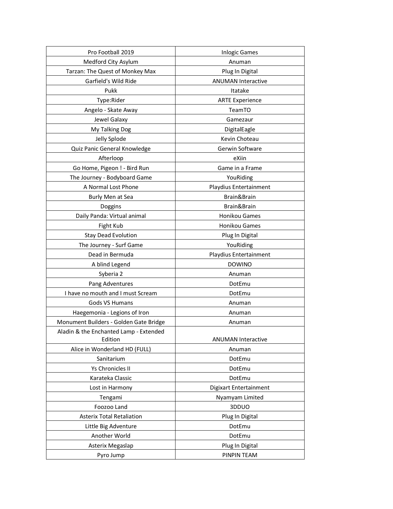| Pro Football 2019                                 | <b>Inlogic Games</b>      |
|---------------------------------------------------|---------------------------|
| Medford City Asylum                               | Anuman                    |
| Tarzan: The Quest of Monkey Max                   | Plug In Digital           |
| Garfield's Wild Ride                              | <b>ANUMAN Interactive</b> |
| Pukk                                              | Itatake                   |
| Type:Rider                                        | <b>ARTE Experience</b>    |
| Angelo - Skate Away                               | TeamTO                    |
| Jewel Galaxy                                      | Gamezaur                  |
| My Talking Dog                                    | DigitalEagle              |
| Jelly Splode                                      | Kevin Choteau             |
| Quiz Panic General Knowledge                      | Gerwin Software           |
| Afterloop                                         | eXiin                     |
| Go Home, Pigeon ! - Bird Run                      | Game in a Frame           |
| The Journey - Bodyboard Game                      | YouRiding                 |
| A Normal Lost Phone                               | Playdius Entertainment    |
| Burly Men at Sea                                  | Brain&Brain               |
| Doggins                                           | Brain&Brain               |
| Daily Panda: Virtual animal                       | Honikou Games             |
| Fight Kub                                         | Honikou Games             |
| <b>Stay Dead Evolution</b>                        | Plug In Digital           |
| The Journey - Surf Game                           | YouRiding                 |
| Dead in Bermuda                                   | Playdius Entertainment    |
| A blind Legend                                    | <b>DOWINO</b>             |
| Syberia 2                                         | Anuman                    |
| Pang Adventures                                   | DotEmu                    |
| I have no mouth and I must Scream                 | DotEmu                    |
| Gods VS Humans                                    | Anuman                    |
| Haegemonia - Legions of Iron                      | Anuman                    |
| Monument Builders - Golden Gate Bridge            | Anuman                    |
| Aladin & the Enchanted Lamp - Extended<br>Edition | <b>ANUMAN Interactive</b> |
| Alice in Wonderland HD (FULL)                     | Anuman                    |
| Sanitarium                                        | DotEmu                    |
| Ys Chronicles II                                  | DotEmu                    |
| Karateka Classic                                  | DotEmu                    |
| Lost in Harmony                                   | Digixart Entertainment    |
| Tengami                                           | Nyamyam Limited           |
| Foozoo Land                                       | 3DDUO                     |
| <b>Asterix Total Retaliation</b>                  | Plug In Digital           |
| Little Big Adventure                              | DotEmu                    |
| Another World                                     | DotEmu                    |
| Asterix Megaslap                                  | Plug In Digital           |
| Pyro Jump                                         | PINPIN TEAM               |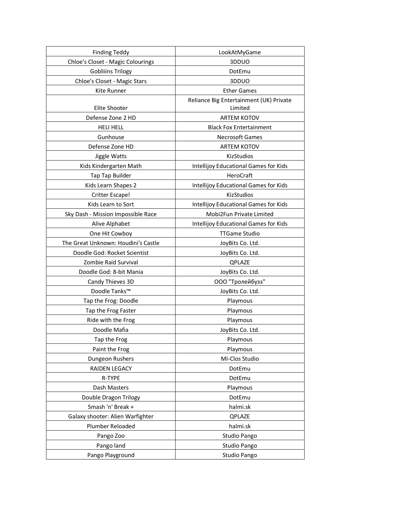| <b>Finding Teddy</b>                | LookAtMyGame                            |
|-------------------------------------|-----------------------------------------|
| Chloe's Closet - Magic Colourings   | 3DDUO                                   |
| <b>Gobliiins Trilogy</b>            | DotEmu                                  |
| Chloe's Closet - Magic Stars        | 3DDUO                                   |
| Kite Runner                         | <b>Ether Games</b>                      |
|                                     | Reliance Big Entertainment (UK) Private |
| Elite Shooter                       | Limited                                 |
| Defense Zone 2 HD                   | <b>ARTEM KOTOV</b>                      |
| <b>HELI HELL</b>                    | <b>Black Fox Entertainment</b>          |
| Gunhouse                            | <b>Necrosoft Games</b>                  |
| Defense Zone HD                     | <b>ARTEM KOTOV</b>                      |
| Jiggle Watts                        | KizStudios                              |
| Kids Kindergarten Math              | Intellijoy Educational Games for Kids   |
| Tap Tap Builder                     | <b>HeroCraft</b>                        |
| Kids Learn Shapes 2                 | Intellijoy Educational Games for Kids   |
| Critter Escape!                     | KizStudios                              |
| Kids Learn to Sort                  | Intellijoy Educational Games for Kids   |
| Sky Dash - Mission Impossible Race  | Mobi2Fun Private Limited                |
| Alive Alphabet                      | Intellijoy Educational Games for Kids   |
| One Hit Cowboy                      | <b>TTGame Studio</b>                    |
| The Great Unknown: Houdini's Castle | JoyBits Co. Ltd.                        |
| Doodle God: Rocket Scientist        | JoyBits Co. Ltd.                        |
| Zombie Raid Survival                | QPLAZE                                  |
| Doodle God: 8-bit Mania             | JoyBits Co. Ltd.                        |
| Candy Thieves 3D                    | ООО "Тролейбузз"                        |
| Doodle Tanks™                       | JoyBits Co. Ltd.                        |
| Tap the Frog: Doodle                | Playmous                                |
| Tap the Frog Faster                 | Playmous                                |
| Ride with the Frog                  | Playmous                                |
| Doodle Mafia                        | JoyBits Co. Ltd.                        |
| Tap the Frog                        | Playmous                                |
| Paint the Frog                      | Playmous                                |
| Dungeon Rushers                     | Mi-Clos Studio                          |
| RAIDEN LEGACY                       | DotEmu                                  |
| R-TYPE                              | DotEmu                                  |
| Dash Masters                        | Playmous                                |
| Double Dragon Trilogy               | DotEmu                                  |
| Smash 'n' Break +                   | halmi.sk                                |
| Galaxy shooter: Alien Warfighter    | QPLAZE                                  |
| Plumber Reloaded                    | halmi.sk                                |
| Pango Zoo                           | Studio Pango                            |
| Pango land                          | Studio Pango                            |
| Pango Playground                    | Studio Pango                            |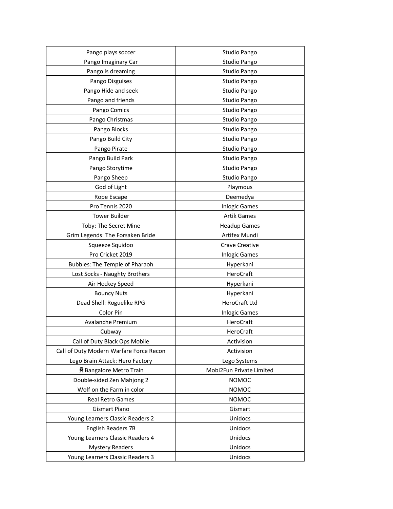| Pango plays soccer                      | Studio Pango             |
|-----------------------------------------|--------------------------|
| Pango Imaginary Car                     | Studio Pango             |
| Pango is dreaming                       | Studio Pango             |
| Pango Disguises                         | Studio Pango             |
| Pango Hide and seek                     | Studio Pango             |
| Pango and friends                       | Studio Pango             |
| Pango Comics                            | Studio Pango             |
| Pango Christmas                         | Studio Pango             |
| Pango Blocks                            | Studio Pango             |
| Pango Build City                        | Studio Pango             |
| Pango Pirate                            | Studio Pango             |
| Pango Build Park                        | Studio Pango             |
| Pango Storytime                         | Studio Pango             |
| Pango Sheep                             | Studio Pango             |
| God of Light                            | Playmous                 |
| Rope Escape                             | Deemedya                 |
| Pro Tennis 2020                         | <b>Inlogic Games</b>     |
| <b>Tower Builder</b>                    | <b>Artik Games</b>       |
| Toby: The Secret Mine                   | <b>Headup Games</b>      |
| Grim Legends: The Forsaken Bride        | Artifex Mundi            |
| Squeeze Squidoo                         | Crave Creative           |
| Pro Cricket 2019                        | <b>Inlogic Games</b>     |
| Bubbles: The Temple of Pharaoh          | Hyperkani                |
| Lost Socks - Naughty Brothers           | HeroCraft                |
| Air Hockey Speed                        | Hyperkani                |
| <b>Bouncy Nuts</b>                      | Hyperkani                |
| Dead Shell: Roguelike RPG               | HeroCraft Ltd            |
| Color Pin                               | <b>Inlogic Games</b>     |
| Avalanche Premium                       | HeroCraft                |
| Cubway                                  | HeroCraft                |
| Call of Duty Black Ops Mobile           | Activision               |
| Call of Duty Modern Warfare Force Recon | Activision               |
| Lego Brain Attack: Hero Factory         | Lego Systems             |
| <b>具 Bangalore Metro Train</b>          | Mobi2Fun Private Limited |
| Double-sided Zen Mahjong 2              | <b>NOMOC</b>             |
| Wolf on the Farm in color               | NOMOC                    |
| <b>Real Retro Games</b>                 | <b>NOMOC</b>             |
| <b>Gismart Piano</b>                    | Gismart                  |
| Young Learners Classic Readers 2        | Unidocs                  |
| English Readers 7B                      | Unidocs                  |
| Young Learners Classic Readers 4        | Unidocs                  |
| <b>Mystery Readers</b>                  | Unidocs                  |
| Young Learners Classic Readers 3        | Unidocs                  |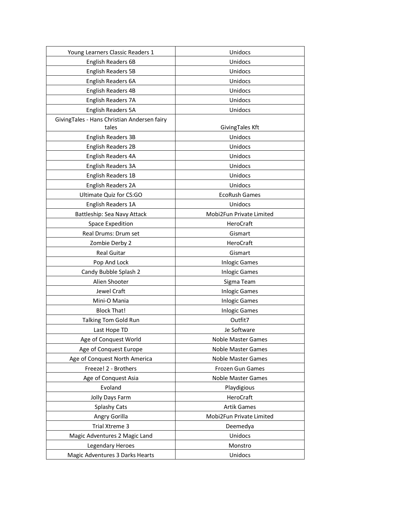| Young Learners Classic Readers 1            | Unidocs                  |
|---------------------------------------------|--------------------------|
| English Readers 6B                          | Unidocs                  |
| <b>English Readers 5B</b>                   | Unidocs                  |
| English Readers 6A                          | Unidocs                  |
| <b>English Readers 4B</b>                   | Unidocs                  |
| English Readers 7A                          | Unidocs                  |
| English Readers 5A                          | Unidocs                  |
| GivingTales - Hans Christian Andersen fairy |                          |
| tales                                       | GivingTales Kft          |
| <b>English Readers 3B</b>                   | Unidocs                  |
| <b>English Readers 2B</b>                   | Unidocs                  |
| English Readers 4A                          | Unidocs                  |
| English Readers 3A                          | Unidocs                  |
| English Readers 1B                          | Unidocs                  |
| English Readers 2A                          | Unidocs                  |
| Ultimate Quiz for CS:GO                     | <b>EcoRush Games</b>     |
| English Readers 1A                          | Unidocs                  |
| Battleship: Sea Navy Attack                 | Mobi2Fun Private Limited |
| <b>Space Expedition</b>                     | HeroCraft                |
| Real Drums: Drum set                        | Gismart                  |
| Zombie Derby 2                              | HeroCraft                |
| <b>Real Guitar</b>                          | Gismart                  |
| Pop And Lock                                | <b>Inlogic Games</b>     |
| Candy Bubble Splash 2                       | <b>Inlogic Games</b>     |
| Alien Shooter                               | Sigma Team               |
| Jewel Craft                                 | <b>Inlogic Games</b>     |
| Mini-O Mania                                | <b>Inlogic Games</b>     |
| <b>Block That!</b>                          | <b>Inlogic Games</b>     |
| Talking Tom Gold Run                        | Outfit7                  |
| Last Hope TD                                | Je Software              |
| Age of Conquest World                       | Noble Master Games       |
| Age of Conquest Europe                      | Noble Master Games       |
| Age of Conquest North America               | Noble Master Games       |
| Freeze! 2 - Brothers                        | Frozen Gun Games         |
| Age of Conquest Asia                        | Noble Master Games       |
| Evoland                                     | Playdigious              |
| Jolly Days Farm                             | HeroCraft                |
| Splashy Cats                                | <b>Artik Games</b>       |
| Angry Gorilla                               | Mobi2Fun Private Limited |
| Trial Xtreme 3                              | Deemedya                 |
| Magic Adventures 2 Magic Land               | Unidocs                  |
| Legendary Heroes                            | Monstro                  |
| Magic Adventures 3 Darks Hearts             | Unidocs                  |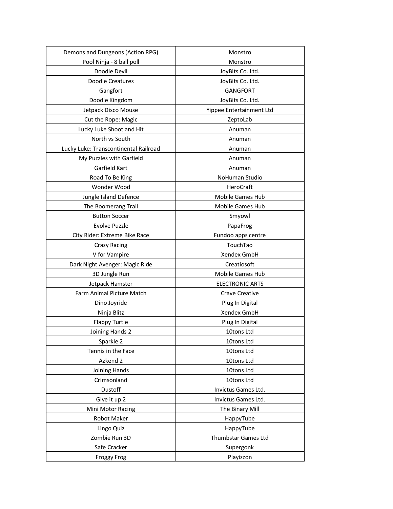| Demons and Dungeons (Action RPG)      | Monstro                  |
|---------------------------------------|--------------------------|
| Pool Ninja - 8 ball poll              | Monstro                  |
| Doodle Devil                          | JoyBits Co. Ltd.         |
| <b>Doodle Creatures</b>               | JoyBits Co. Ltd.         |
| Gangfort                              | <b>GANGFORT</b>          |
| Doodle Kingdom                        | JoyBits Co. Ltd.         |
| Jetpack Disco Mouse                   | Yippee Entertainment Ltd |
| Cut the Rope: Magic                   | ZeptoLab                 |
| Lucky Luke Shoot and Hit              | Anuman                   |
| North vs South                        | Anuman                   |
| Lucky Luke: Transcontinental Railroad | Anuman                   |
| My Puzzles with Garfield              | Anuman                   |
| Garfield Kart                         | Anuman                   |
| Road To Be King                       | <b>NoHuman Studio</b>    |
| Wonder Wood                           | HeroCraft                |
| Jungle Island Defence                 | Mobile Games Hub         |
| The Boomerang Trail                   | Mobile Games Hub         |
| <b>Button Soccer</b>                  | Smyowl                   |
| Evolve Puzzle                         | PapaFrog                 |
| City Rider: Extreme Bike Race         | Fundoo apps centre       |
| <b>Crazy Racing</b>                   | TouchTao                 |
| V for Vampire                         | Xendex GmbH              |
| Dark Night Avenger: Magic Ride        | Creatiosoft              |
| 3D Jungle Run                         | Mobile Games Hub         |
| Jetpack Hamster                       | <b>ELECTRONIC ARTS</b>   |
| Farm Animal Picture Match             | Crave Creative           |
| Dino Joyride                          | Plug In Digital          |
| Ninja Blitz                           | Xendex GmbH              |
| <b>Flappy Turtle</b>                  | Plug In Digital          |
| Joining Hands 2                       | 10tons Ltd               |
| Sparkle 2                             | 10tons Ltd               |
| Tennis in the Face                    | 10tons Ltd               |
| Azkend 2                              | 10tons Ltd               |
| Joining Hands                         | 10tons Ltd               |
| Crimsonland                           | 10tons Ltd               |
| Dustoff                               | Invictus Games Ltd.      |
| Give it up 2                          | Invictus Games Ltd.      |
| Mini Motor Racing                     | The Binary Mill          |
| Robot Maker                           | HappyTube                |
| Lingo Quiz                            | HappyTube                |
| Zombie Run 3D                         | Thumbstar Games Ltd      |
| Safe Cracker                          | Supergonk                |
| <b>Froggy Frog</b>                    | Playizzon                |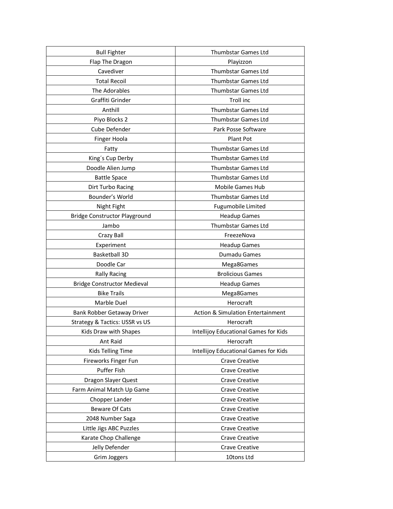| <b>Bull Fighter</b>                  | Thumbstar Games Ltd                          |
|--------------------------------------|----------------------------------------------|
| Flap The Dragon                      | Playizzon                                    |
| Cavediver                            | Thumbstar Games Ltd                          |
| <b>Total Recoil</b>                  | <b>Thumbstar Games Ltd</b>                   |
| The Adorables                        | Thumbstar Games Ltd                          |
| Graffiti Grinder                     | Troll inc                                    |
| Anthill                              | Thumbstar Games Ltd                          |
| Piyo Blocks 2                        | <b>Thumbstar Games Ltd</b>                   |
| Cube Defender                        | Park Posse Software                          |
| Finger Hoola                         | Plant Pot                                    |
| Fatty                                | Thumbstar Games Ltd                          |
| King's Cup Derby                     | <b>Thumbstar Games Ltd</b>                   |
| Doodle Alien Jump                    | Thumbstar Games Ltd                          |
| <b>Battle Space</b>                  | <b>Thumbstar Games Ltd</b>                   |
| Dirt Turbo Racing                    | Mobile Games Hub                             |
| Bounder's World                      | <b>Thumbstar Games Ltd</b>                   |
| Night Fight                          | Fugumobile Limited                           |
| <b>Bridge Constructor Playground</b> | <b>Headup Games</b>                          |
| Jambo                                | Thumbstar Games Ltd                          |
| Crazy Ball                           | FreezeNova                                   |
| Experiment                           | <b>Headup Games</b>                          |
| <b>Basketball 3D</b>                 | Dumadu Games                                 |
| Doodle Car                           | Mega8Games                                   |
| <b>Rally Racing</b>                  | <b>Brolicious Games</b>                      |
| <b>Bridge Constructor Medieval</b>   | <b>Headup Games</b>                          |
| <b>Bike Trails</b>                   | Mega8Games                                   |
| Marble Duel                          | Herocraft                                    |
| Bank Robber Getaway Driver           | <b>Action &amp; Simulation Entertainment</b> |
| Strategy & Tactics: USSR vs US       | Herocraft                                    |
| Kids Draw with Shapes                | <b>Intellijoy Educational Games for Kids</b> |
| Ant Raid                             | Herocraft                                    |
| Kids Telling Time                    | <b>Intellijoy Educational Games for Kids</b> |
| Fireworks Finger Fun                 | Crave Creative                               |
| Puffer Fish                          | Crave Creative                               |
| Dragon Slayer Quest                  | <b>Crave Creative</b>                        |
| Farm Animal Match Up Game            | Crave Creative                               |
| Chopper Lander                       | Crave Creative                               |
| <b>Beware Of Cats</b>                | Crave Creative                               |
| 2048 Number Saga                     | Crave Creative                               |
| Little Jigs ABC Puzzles              | Crave Creative                               |
| Karate Chop Challenge                | Crave Creative                               |
| Jelly Defender                       | Crave Creative                               |
| Grim Joggers                         | 10tons Ltd                                   |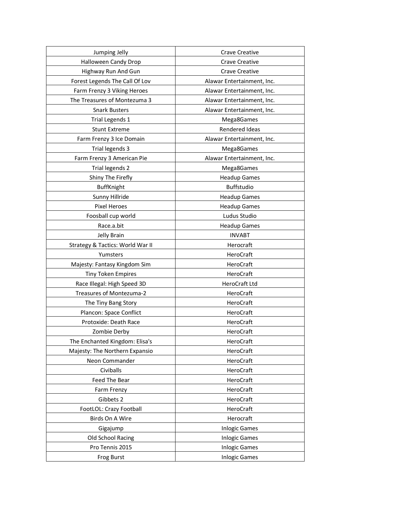| Jumping Jelly                    | Crave Creative             |
|----------------------------------|----------------------------|
| Halloween Candy Drop             | <b>Crave Creative</b>      |
| Highway Run And Gun              | <b>Crave Creative</b>      |
| Forest Legends The Call Of Lov   | Alawar Entertainment, Inc. |
| Farm Frenzy 3 Viking Heroes      | Alawar Entertainment, Inc. |
| The Treasures of Montezuma 3     | Alawar Entertainment, Inc. |
| <b>Snark Busters</b>             | Alawar Entertainment, Inc. |
| Trial Legends 1                  | Mega8Games                 |
| <b>Stunt Extreme</b>             | Rendered Ideas             |
| Farm Frenzy 3 Ice Domain         | Alawar Entertainment, Inc. |
| Trial legends 3                  | Mega8Games                 |
| Farm Frenzy 3 American Pie       | Alawar Entertainment, Inc. |
| Trial legends 2                  | Mega8Games                 |
| Shiny The Firefly                | <b>Headup Games</b>        |
| <b>BuffKnight</b>                | Buffstudio                 |
| Sunny Hillride                   | <b>Headup Games</b>        |
| <b>Pixel Heroes</b>              | <b>Headup Games</b>        |
| Foosball cup world               | Ludus Studio               |
| Race.a.bit                       | <b>Headup Games</b>        |
| Jelly Brain                      | <b>INVABT</b>              |
| Strategy & Tactics: World War II | Herocraft                  |
| Yumsters                         | HeroCraft                  |
| Majesty: Fantasy Kingdom Sim     | HeroCraft                  |
| <b>Tiny Token Empires</b>        | HeroCraft                  |
| Race Illegal: High Speed 3D      | HeroCraft Ltd              |
| Treasures of Montezuma-2         | HeroCraft                  |
| The Tiny Bang Story              | HeroCraft                  |
| Plancon: Space Conflict          | HeroCraft                  |
| Protoxide: Death Race            | HeroCraft                  |
| Zombie Derby                     | HeroCraft                  |
| The Enchanted Kingdom: Elisa's   | HeroCraft                  |
| Majesty: The Northern Expansio   | HeroCraft                  |
| Neon Commander                   | HeroCraft                  |
| Civiballs                        | HeroCraft                  |
| Feed The Bear                    | HeroCraft                  |
| Farm Frenzy                      | HeroCraft                  |
| Gibbets 2                        | HeroCraft                  |
| FootLOL: Crazy Football          | HeroCraft                  |
| Birds On A Wire                  | Herocraft                  |
| Gigajump                         | <b>Inlogic Games</b>       |
| Old School Racing                | <b>Inlogic Games</b>       |
| Pro Tennis 2015                  | <b>Inlogic Games</b>       |
| <b>Frog Burst</b>                | <b>Inlogic Games</b>       |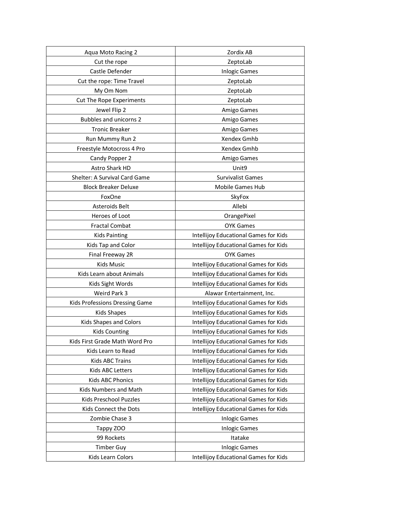| Aqua Moto Racing 2             | Zordix AB                                    |
|--------------------------------|----------------------------------------------|
| Cut the rope                   | ZeptoLab                                     |
| Castle Defender                | <b>Inlogic Games</b>                         |
| Cut the rope: Time Travel      | ZeptoLab                                     |
| My Om Nom                      | ZeptoLab                                     |
| Cut The Rope Experiments       | ZeptoLab                                     |
| Jewel Flip 2                   | Amigo Games                                  |
| <b>Bubbles and unicorns 2</b>  | Amigo Games                                  |
| <b>Tronic Breaker</b>          | Amigo Games                                  |
| Run Mummy Run 2                | Xendex Gmhb                                  |
| Freestyle Motocross 4 Pro      | Xendex Gmhb                                  |
| Candy Popper 2                 | Amigo Games                                  |
| Astro Shark HD                 | Unit9                                        |
| Shelter: A Survival Card Game  | <b>Survivalist Games</b>                     |
| <b>Block Breaker Deluxe</b>    | Mobile Games Hub                             |
| FoxOne                         | SkyFox                                       |
| Asteroids Belt                 | Allebi                                       |
| Heroes of Loot                 | OrangePixel                                  |
| <b>Fractal Combat</b>          | <b>OYK Games</b>                             |
| <b>Kids Painting</b>           | Intellijoy Educational Games for Kids        |
| Kids Tap and Color             | Intellijoy Educational Games for Kids        |
| Final Freeway 2R               | <b>OYK Games</b>                             |
| <b>Kids Music</b>              | Intellijoy Educational Games for Kids        |
| Kids Learn about Animals       | Intellijoy Educational Games for Kids        |
| Kids Sight Words               | Intellijoy Educational Games for Kids        |
| Weird Park 3                   | Alawar Entertainment, Inc.                   |
| Kids Professions Dressing Game | Intellijoy Educational Games for Kids        |
| <b>Kids Shapes</b>             | Intellijoy Educational Games for Kids        |
| Kids Shapes and Colors         | Intellijoy Educational Games for Kids        |
| <b>Kids Counting</b>           | Intellijoy Educational Games for Kids        |
| Kids First Grade Math Word Pro | Intellijoy Educational Games for Kids        |
| Kids Learn to Read             | Intellijoy Educational Games for Kids        |
| Kids ABC Trains                | <b>Intellijoy Educational Games for Kids</b> |
| Kids ABC Letters               | Intellijoy Educational Games for Kids        |
| Kids ABC Phonics               | Intellijoy Educational Games for Kids        |
| Kids Numbers and Math          | Intellijoy Educational Games for Kids        |
| Kids Preschool Puzzles         | Intellijoy Educational Games for Kids        |
| Kids Connect the Dots          | Intellijoy Educational Games for Kids        |
| Zombie Chase 3                 | <b>Inlogic Games</b>                         |
| Tappy ZOO                      | <b>Inlogic Games</b>                         |
| 99 Rockets                     | Itatake                                      |
| <b>Timber Guy</b>              | <b>Inlogic Games</b>                         |
| Kids Learn Colors              | Intellijoy Educational Games for Kids        |